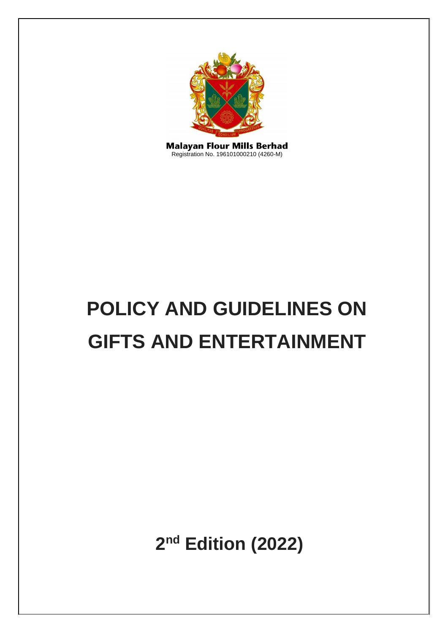

**Malayan Flour Mills Berhad** Registration No. 196101000210 (4260-M)

# **POLICY AND GUIDELINES ON GIFTS AND ENTERTAINMENT**

**2 nd Edition (2022)**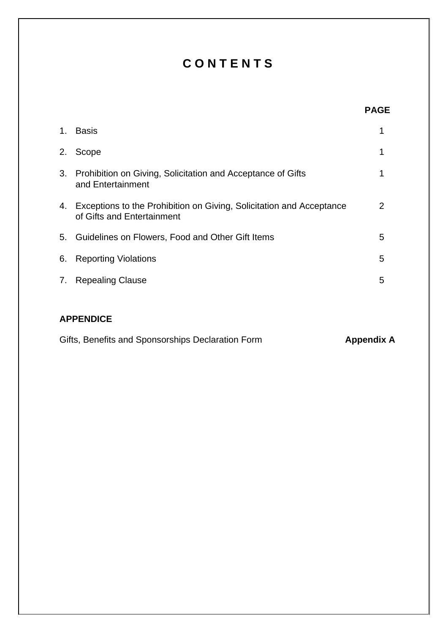# **C O N T E N T S**

| 1. | <b>Basis</b>                                                                                       |                |
|----|----------------------------------------------------------------------------------------------------|----------------|
| 2. | Scope                                                                                              | 1              |
| 3. | Prohibition on Giving, Solicitation and Acceptance of Gifts<br>and Entertainment                   | 1              |
| 4. | Exceptions to the Prohibition on Giving, Solicitation and Acceptance<br>of Gifts and Entertainment | $\overline{2}$ |
|    | 5. Guidelines on Flowers, Food and Other Gift Items                                                | 5              |
| 6. | <b>Reporting Violations</b>                                                                        | 5              |
| 7. | <b>Repealing Clause</b>                                                                            | 5              |

# **APPENDICE**

|  |  | Gifts, Benefits and Sponsorships Declaration Form | <b>Appendix A</b> |
|--|--|---------------------------------------------------|-------------------|
|--|--|---------------------------------------------------|-------------------|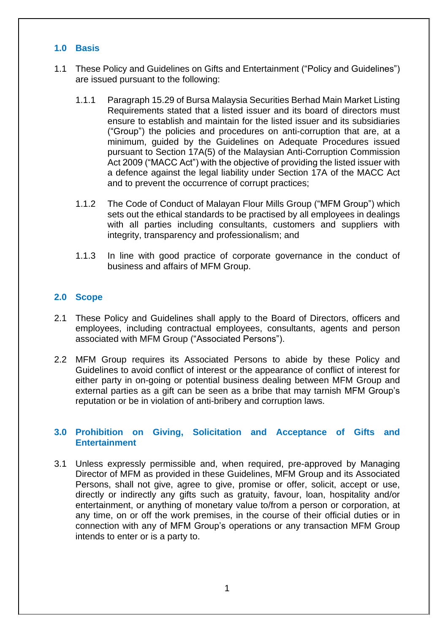### **1.0 Basis**

- 1.1 These Policy and Guidelines on Gifts and Entertainment ("Policy and Guidelines") are issued pursuant to the following:
	- 1.1.1 Paragraph 15.29 of Bursa Malaysia Securities Berhad Main Market Listing Requirements stated that a listed issuer and its board of directors must ensure to establish and maintain for the listed issuer and its subsidiaries ("Group") the policies and procedures on anti-corruption that are, at a minimum, guided by the Guidelines on Adequate Procedures issued pursuant to Section 17A(5) of the Malaysian Anti-Corruption Commission Act 2009 ("MACC Act") with the objective of providing the listed issuer with a defence against the legal liability under Section 17A of the MACC Act and to prevent the occurrence of corrupt practices;
	- 1.1.2 The Code of Conduct of Malayan Flour Mills Group ("MFM Group") which sets out the ethical standards to be practised by all employees in dealings with all parties including consultants, customers and suppliers with integrity, transparency and professionalism; and
	- 1.1.3 In line with good practice of corporate governance in the conduct of business and affairs of MFM Group.

#### **2.0 Scope**

- 2.1 These Policy and Guidelines shall apply to the Board of Directors, officers and employees, including contractual employees, consultants, agents and person associated with MFM Group ("Associated Persons").
- 2.2 MFM Group requires its Associated Persons to abide by these Policy and Guidelines to avoid conflict of interest or the appearance of conflict of interest for either party in on-going or potential business dealing between MFM Group and external parties as a gift can be seen as a bribe that may tarnish MFM Group's reputation or be in violation of anti-bribery and corruption laws.

#### **3.0 Prohibition on Giving, Solicitation and Acceptance of Gifts and Entertainment**

3.1 Unless expressly permissible and, when required, pre-approved by Managing Director of MFM as provided in these Guidelines, MFM Group and its Associated Persons, shall not give, agree to give, promise or offer, solicit, accept or use, directly or indirectly any gifts such as gratuity, favour, loan, hospitality and/or entertainment, or anything of monetary value to/from a person or corporation, at any time, on or off the work premises, in the course of their official duties or in connection with any of MFM Group's operations or any transaction MFM Group intends to enter or is a party to.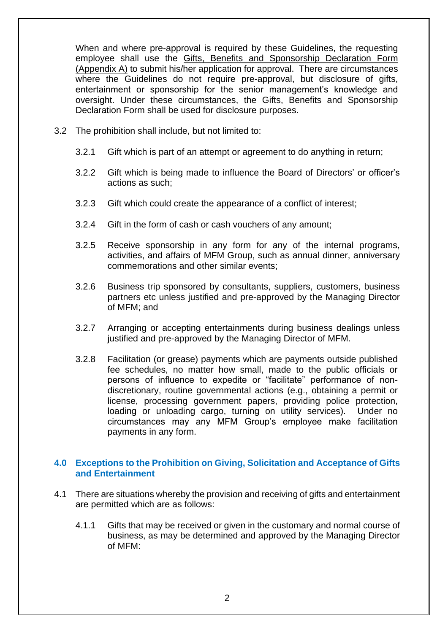When and where pre-approval is required by these Guidelines, the requesting employee shall use the Gifts, Benefits and Sponsorship Declaration Form (Appendix A) to submit his/her application for approval. There are circumstances where the Guidelines do not require pre-approval, but disclosure of gifts, entertainment or sponsorship for the senior management's knowledge and oversight. Under these circumstances, the Gifts, Benefits and Sponsorship Declaration Form shall be used for disclosure purposes.

- 3.2 The prohibition shall include, but not limited to:
	- 3.2.1 Gift which is part of an attempt or agreement to do anything in return;
	- 3.2.2 Gift which is being made to influence the Board of Directors' or officer's actions as such;
	- 3.2.3 Gift which could create the appearance of a conflict of interest;
	- 3.2.4 Gift in the form of cash or cash vouchers of any amount;
	- 3.2.5 Receive sponsorship in any form for any of the internal programs, activities, and affairs of MFM Group, such as annual dinner, anniversary commemorations and other similar events;
	- 3.2.6 Business trip sponsored by consultants, suppliers, customers, business partners etc unless justified and pre-approved by the Managing Director of MFM; and
	- 3.2.7 Arranging or accepting entertainments during business dealings unless justified and pre-approved by the Managing Director of MFM.
	- 3.2.8 Facilitation (or grease) payments which are payments outside published fee schedules, no matter how small, made to the public officials or persons of influence to expedite or "facilitate" performance of nondiscretionary, routine governmental actions (e.g., obtaining a permit or license, processing government papers, providing police protection, loading or unloading cargo, turning on utility services). Under no circumstances may any MFM Group's employee make facilitation payments in any form.

#### **4.0 Exceptions to the Prohibition on Giving, Solicitation and Acceptance of Gifts and Entertainment**

- 4.1 There are situations whereby the provision and receiving of gifts and entertainment are permitted which are as follows:
	- 4.1.1 Gifts that may be received or given in the customary and normal course of business, as may be determined and approved by the Managing Director of MFM: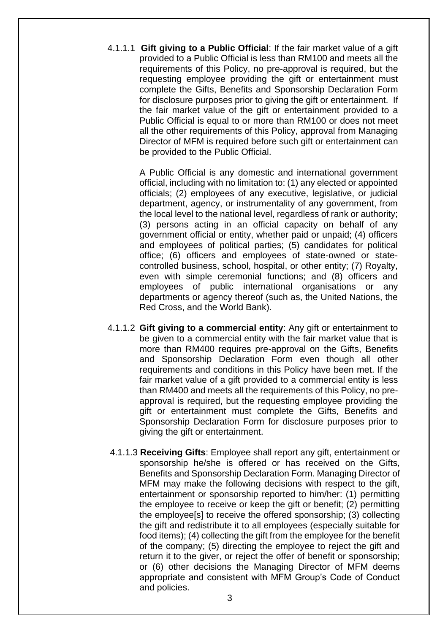4.1.1.1 **Gift giving to a Public Official**: If the fair market value of a gift provided to a Public Official is less than RM100 and meets all the requirements of this Policy, no pre-approval is required, but the requesting employee providing the gift or entertainment must complete the Gifts, Benefits and Sponsorship Declaration Form for disclosure purposes prior to giving the gift or entertainment. If the fair market value of the gift or entertainment provided to a Public Official is equal to or more than RM100 or does not meet all the other requirements of this Policy, approval from Managing Director of MFM is required before such gift or entertainment can be provided to the Public Official.

> A Public Official is any domestic and international government official, including with no limitation to: (1) any elected or appointed officials; (2) employees of any executive, legislative, or judicial department, agency, or instrumentality of any government, from the local level to the national level, regardless of rank or authority; (3) persons acting in an official capacity on behalf of any government official or entity, whether paid or unpaid; (4) officers and employees of political parties; (5) candidates for political office; (6) officers and employees of state-owned or statecontrolled business, school, hospital, or other entity; (7) Royalty, even with simple ceremonial functions; and (8) officers and employees of public international organisations or any departments or agency thereof (such as, the United Nations, the Red Cross, and the World Bank).

- 4.1.1.2 **Gift giving to a commercial entity**: Any gift or entertainment to be given to a commercial entity with the fair market value that is more than RM400 requires pre-approval on the Gifts, Benefits and Sponsorship Declaration Form even though all other requirements and conditions in this Policy have been met. If the fair market value of a gift provided to a commercial entity is less than RM400 and meets all the requirements of this Policy, no preapproval is required, but the requesting employee providing the gift or entertainment must complete the Gifts, Benefits and Sponsorship Declaration Form for disclosure purposes prior to giving the gift or entertainment.
- 4.1.1.3 **Receiving Gifts**: Employee shall report any gift, entertainment or sponsorship he/she is offered or has received on the Gifts, Benefits and Sponsorship Declaration Form. Managing Director of MFM may make the following decisions with respect to the gift, entertainment or sponsorship reported to him/her: (1) permitting the employee to receive or keep the gift or benefit; (2) permitting the employee[s] to receive the offered sponsorship; (3) collecting the gift and redistribute it to all employees (especially suitable for food items); (4) collecting the gift from the employee for the benefit of the company; (5) directing the employee to reject the gift and return it to the giver, or reject the offer of benefit or sponsorship; or (6) other decisions the Managing Director of MFM deems appropriate and consistent with MFM Group's Code of Conduct and policies.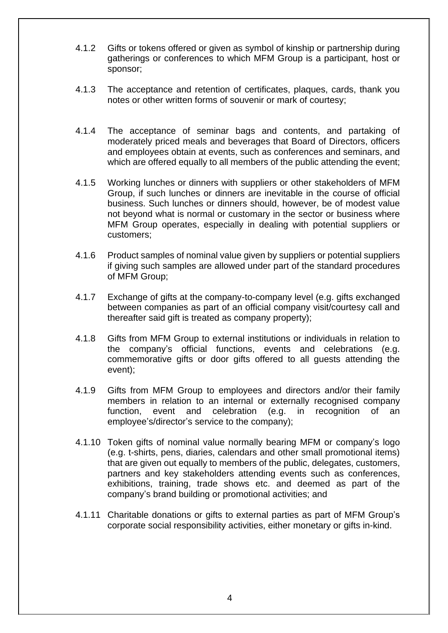- 4.1.2 Gifts or tokens offered or given as symbol of kinship or partnership during gatherings or conferences to which MFM Group is a participant, host or sponsor;
- 4.1.3 The acceptance and retention of certificates, plaques, cards, thank you notes or other written forms of souvenir or mark of courtesy;
- 4.1.4 The acceptance of seminar bags and contents, and partaking of moderately priced meals and beverages that Board of Directors, officers and employees obtain at events, such as conferences and seminars, and which are offered equally to all members of the public attending the event;
- 4.1.5 Working lunches or dinners with suppliers or other stakeholders of MFM Group, if such lunches or dinners are inevitable in the course of official business. Such lunches or dinners should, however, be of modest value not beyond what is normal or customary in the sector or business where MFM Group operates, especially in dealing with potential suppliers or customers;
- 4.1.6 Product samples of nominal value given by suppliers or potential suppliers if giving such samples are allowed under part of the standard procedures of MFM Group;
- 4.1.7 Exchange of gifts at the company-to-company level (e.g. gifts exchanged between companies as part of an official company visit/courtesy call and thereafter said gift is treated as company property);
- 4.1.8 Gifts from MFM Group to external institutions or individuals in relation to the company's official functions, events and celebrations (e.g. commemorative gifts or door gifts offered to all guests attending the event);
- 4.1.9 Gifts from MFM Group to employees and directors and/or their family members in relation to an internal or externally recognised company function, event and celebration (e.g. in recognition of an employee's/director's service to the company);
- 4.1.10 Token gifts of nominal value normally bearing MFM or company's logo (e.g. t-shirts, pens, diaries, calendars and other small promotional items) that are given out equally to members of the public, delegates, customers, partners and key stakeholders attending events such as conferences, exhibitions, training, trade shows etc. and deemed as part of the company's brand building or promotional activities; and
- 4.1.11 Charitable donations or gifts to external parties as part of MFM Group's corporate social responsibility activities, either monetary or gifts in-kind.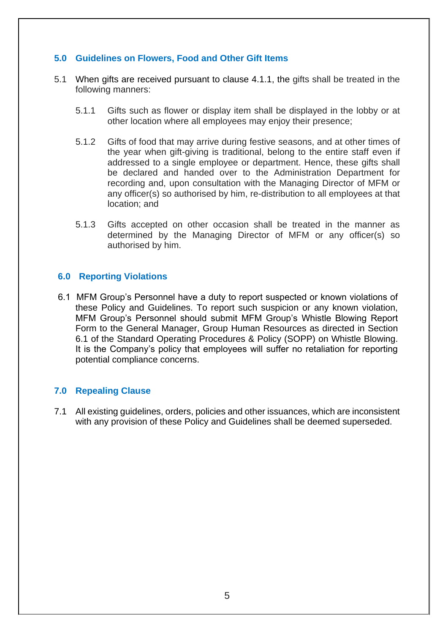#### **5.0 Guidelines on Flowers, Food and Other Gift Items**

- 5.1 When gifts are received pursuant to clause 4.1.1, the gifts shall be treated in the following manners:
	- 5.1.1 Gifts such as flower or display item shall be displayed in the lobby or at other location where all employees may enjoy their presence;
	- 5.1.2 Gifts of food that may arrive during festive seasons, and at other times of the year when gift-giving is traditional, belong to the entire staff even if addressed to a single employee or department. Hence, these gifts shall be declared and handed over to the Administration Department for recording and, upon consultation with the Managing Director of MFM or any officer(s) so authorised by him, re-distribution to all employees at that location; and
	- 5.1.3 Gifts accepted on other occasion shall be treated in the manner as determined by the Managing Director of MFM or any officer(s) so authorised by him.

#### **6.0 Reporting Violations**

6.1 MFM Group's Personnel have a duty to report suspected or known violations of these Policy and Guidelines. To report such suspicion or any known violation, MFM Group's Personnel should submit MFM Group's Whistle Blowing Report Form to the General Manager, Group Human Resources as directed in Section 6.1 of the Standard Operating Procedures & Policy (SOPP) on Whistle Blowing. It is the Company's policy that employees will suffer no retaliation for reporting potential compliance concerns.

#### **7.0 Repealing Clause**

7.1 All existing guidelines, orders, policies and other issuances, which are inconsistent with any provision of these Policy and Guidelines shall be deemed superseded.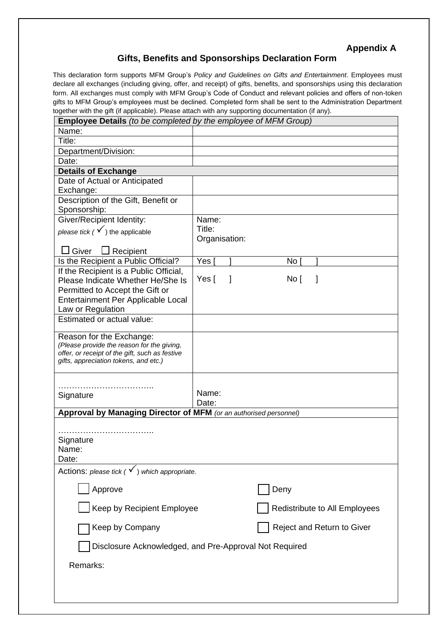## **Appendix A**

#### **Gifts, Benefits and Sponsorships Declaration Form**

This declaration form supports MFM Group's *Policy and Guidelines on Gifts and Entertainment*. Employees must declare all exchanges (including giving, offer, and receipt) of gifts, benefits, and sponsorships using this declaration form. All exchanges must comply with MFM Group's Code of Conduct and relevant policies and offers of non-token gifts to MFM Group's employees must be declined. Completed form shall be sent to the Administration Department together with the gift (if applicable). Please attach with any supporting documentation (if any).

| <b>Employee Details</b> (to be completed by the employee of MFM Group) |               |                               |  |  |  |  |
|------------------------------------------------------------------------|---------------|-------------------------------|--|--|--|--|
| Name:                                                                  |               |                               |  |  |  |  |
| Title:                                                                 |               |                               |  |  |  |  |
| Department/Division:                                                   |               |                               |  |  |  |  |
| Date:                                                                  |               |                               |  |  |  |  |
| <b>Details of Exchange</b>                                             |               |                               |  |  |  |  |
| Date of Actual or Anticipated                                          |               |                               |  |  |  |  |
| Exchange:                                                              |               |                               |  |  |  |  |
| Description of the Gift, Benefit or                                    |               |                               |  |  |  |  |
| Sponsorship:                                                           |               |                               |  |  |  |  |
| Giver/Recipient Identity:                                              | Name:         |                               |  |  |  |  |
| please tick ( $\checkmark$ ) the applicable                            | Title:        |                               |  |  |  |  |
|                                                                        | Organisation: |                               |  |  |  |  |
| ⊿ Giver<br>$\Box$ Recipient                                            |               |                               |  |  |  |  |
| Is the Recipient a Public Official?                                    | Yes [         | No I                          |  |  |  |  |
| If the Recipient is a Public Official,                                 |               |                               |  |  |  |  |
| Please Indicate Whether He/She Is                                      | Yes [<br>1    | No [                          |  |  |  |  |
| Permitted to Accept the Gift or                                        |               |                               |  |  |  |  |
| Entertainment Per Applicable Local                                     |               |                               |  |  |  |  |
| Law or Regulation                                                      |               |                               |  |  |  |  |
| Estimated or actual value:                                             |               |                               |  |  |  |  |
| Reason for the Exchange:                                               |               |                               |  |  |  |  |
| (Please provide the reason for the giving,                             |               |                               |  |  |  |  |
| offer, or receipt of the gift, such as festive                         |               |                               |  |  |  |  |
| gifts, appreciation tokens, and etc.)                                  |               |                               |  |  |  |  |
|                                                                        |               |                               |  |  |  |  |
| .                                                                      |               |                               |  |  |  |  |
| Signature                                                              | Name:         |                               |  |  |  |  |
|                                                                        | Date:         |                               |  |  |  |  |
| Approval by Managing Director of MFM (or an authorised personnel)      |               |                               |  |  |  |  |
|                                                                        |               |                               |  |  |  |  |
|                                                                        |               |                               |  |  |  |  |
| Signature                                                              |               |                               |  |  |  |  |
| Name:                                                                  |               |                               |  |  |  |  |
| Date:                                                                  |               |                               |  |  |  |  |
| Actions: please tick ( $\checkmark$ ) which appropriate.               |               |                               |  |  |  |  |
| Approve                                                                |               | Deny                          |  |  |  |  |
|                                                                        |               |                               |  |  |  |  |
| Keep by Recipient Employee                                             |               | Redistribute to All Employees |  |  |  |  |
| Keep by Company                                                        |               | Reject and Return to Giver    |  |  |  |  |
| Disclosure Acknowledged, and Pre-Approval Not Required                 |               |                               |  |  |  |  |
| Remarks:                                                               |               |                               |  |  |  |  |
|                                                                        |               |                               |  |  |  |  |
|                                                                        |               |                               |  |  |  |  |
|                                                                        |               |                               |  |  |  |  |